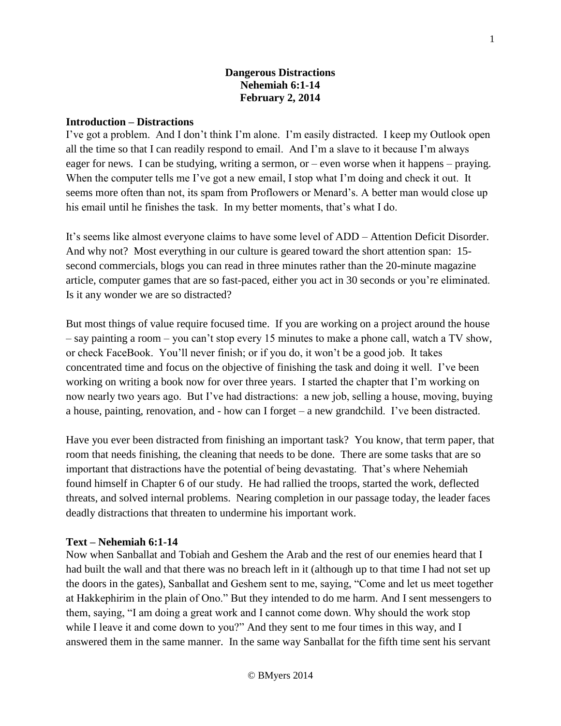### **Dangerous Distractions Nehemiah 6:1-14 February 2, 2014**

#### **Introduction – Distractions**

I've got a problem. And I don't think I'm alone. I'm easily distracted. I keep my Outlook open all the time so that I can readily respond to email. And I'm a slave to it because I'm always eager for news. I can be studying, writing a sermon, or – even worse when it happens – praying. When the computer tells me I've got a new email, I stop what I'm doing and check it out. It seems more often than not, its spam from Proflowers or Menard's. A better man would close up his email until he finishes the task. In my better moments, that's what I do.

It's seems like almost everyone claims to have some level of ADD – Attention Deficit Disorder. And why not? Most everything in our culture is geared toward the short attention span: 15 second commercials, blogs you can read in three minutes rather than the 20-minute magazine article, computer games that are so fast-paced, either you act in 30 seconds or you're eliminated. Is it any wonder we are so distracted?

But most things of value require focused time. If you are working on a project around the house – say painting a room – you can't stop every 15 minutes to make a phone call, watch a TV show, or check FaceBook. You'll never finish; or if you do, it won't be a good job. It takes concentrated time and focus on the objective of finishing the task and doing it well. I've been working on writing a book now for over three years. I started the chapter that I'm working on now nearly two years ago. But I've had distractions: a new job, selling a house, moving, buying a house, painting, renovation, and - how can I forget – a new grandchild. I've been distracted.

Have you ever been distracted from finishing an important task? You know, that term paper, that room that needs finishing, the cleaning that needs to be done. There are some tasks that are so important that distractions have the potential of being devastating. That's where Nehemiah found himself in Chapter 6 of our study. He had rallied the troops, started the work, deflected threats, and solved internal problems. Nearing completion in our passage today, the leader faces deadly distractions that threaten to undermine his important work.

#### **Text – Nehemiah 6:1-14**

Now when Sanballat and Tobiah and Geshem the Arab and the rest of our enemies heard that I had built the wall and that there was no breach left in it (although up to that time I had not set up the doors in the gates), Sanballat and Geshem sent to me, saying, "Come and let us meet together at Hakkephirim in the plain of Ono." But they intended to do me harm. And I sent messengers to them, saying, "I am doing a great work and I cannot come down. Why should the work stop while I leave it and come down to you?" And they sent to me four times in this way, and I answered them in the same manner. In the same way Sanballat for the fifth time sent his servant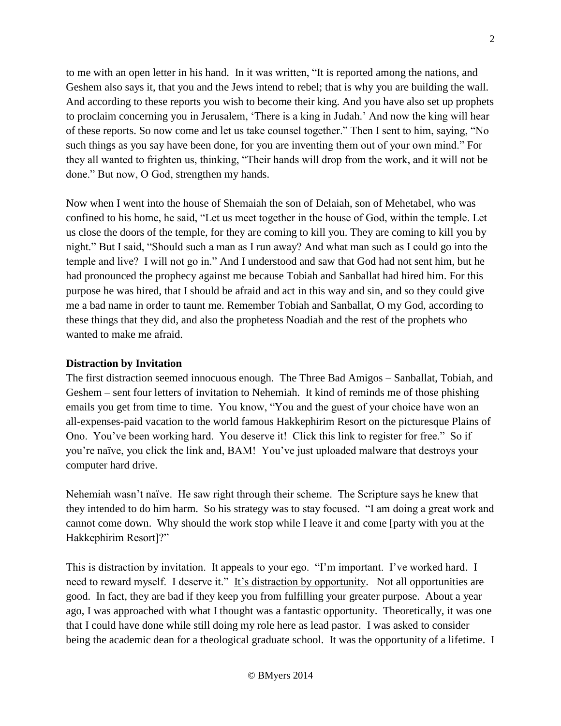to me with an open letter in his hand. In it was written, "It is reported among the nations, and Geshem also says it, that you and the Jews intend to rebel; that is why you are building the wall. And according to these reports you wish to become their king. And you have also set up prophets to proclaim concerning you in Jerusalem, 'There is a king in Judah.' And now the king will hear of these reports. So now come and let us take counsel together." Then I sent to him, saying, "No such things as you say have been done, for you are inventing them out of your own mind." For they all wanted to frighten us, thinking, "Their hands will drop from the work, and it will not be done." But now, O God, strengthen my hands.

Now when I went into the house of Shemaiah the son of Delaiah, son of Mehetabel, who was confined to his home, he said, "Let us meet together in the house of God, within the temple. Let us close the doors of the temple, for they are coming to kill you. They are coming to kill you by night." But I said, "Should such a man as I run away? And what man such as I could go into the temple and live? I will not go in." And I understood and saw that God had not sent him, but he had pronounced the prophecy against me because Tobiah and Sanballat had hired him. For this purpose he was hired, that I should be afraid and act in this way and sin, and so they could give me a bad name in order to taunt me. Remember Tobiah and Sanballat, O my God, according to these things that they did, and also the prophetess Noadiah and the rest of the prophets who wanted to make me afraid.

## **Distraction by Invitation**

The first distraction seemed innocuous enough. The Three Bad Amigos – Sanballat, Tobiah, and Geshem – sent four letters of invitation to Nehemiah. It kind of reminds me of those phishing emails you get from time to time. You know, "You and the guest of your choice have won an all-expenses-paid vacation to the world famous Hakkephirim Resort on the picturesque Plains of Ono. You've been working hard. You deserve it! Click this link to register for free." So if you're naïve, you click the link and, BAM! You've just uploaded malware that destroys your computer hard drive.

Nehemiah wasn't naïve. He saw right through their scheme. The Scripture says he knew that they intended to do him harm. So his strategy was to stay focused. "I am doing a great work and cannot come down. Why should the work stop while I leave it and come [party with you at the Hakkephirim Resort]?"

This is distraction by invitation. It appeals to your ego. "I'm important. I've worked hard. I need to reward myself. I deserve it." It's distraction by opportunity. Not all opportunities are good. In fact, they are bad if they keep you from fulfilling your greater purpose. About a year ago, I was approached with what I thought was a fantastic opportunity. Theoretically, it was one that I could have done while still doing my role here as lead pastor. I was asked to consider being the academic dean for a theological graduate school. It was the opportunity of a lifetime. I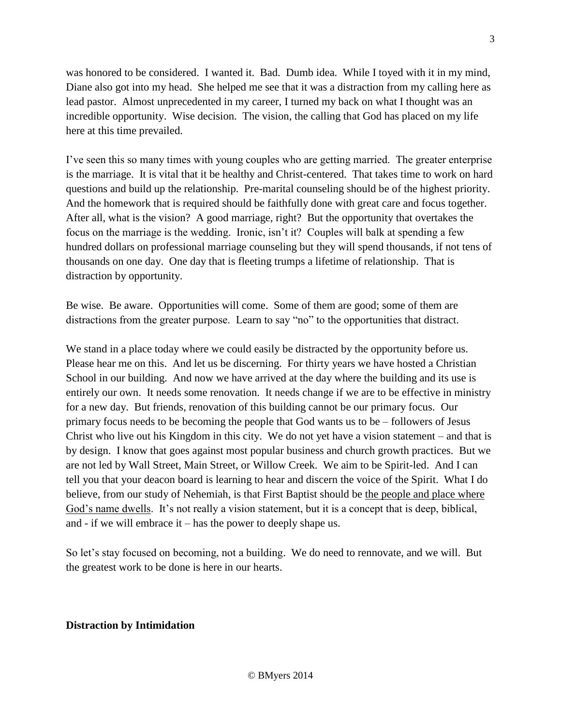was honored to be considered. I wanted it. Bad. Dumb idea. While I toyed with it in my mind, Diane also got into my head. She helped me see that it was a distraction from my calling here as lead pastor. Almost unprecedented in my career, I turned my back on what I thought was an incredible opportunity. Wise decision. The vision, the calling that God has placed on my life here at this time prevailed.

I've seen this so many times with young couples who are getting married. The greater enterprise is the marriage. It is vital that it be healthy and Christ-centered. That takes time to work on hard questions and build up the relationship. Pre-marital counseling should be of the highest priority. And the homework that is required should be faithfully done with great care and focus together. After all, what is the vision? A good marriage, right? But the opportunity that overtakes the focus on the marriage is the wedding. Ironic, isn't it? Couples will balk at spending a few hundred dollars on professional marriage counseling but they will spend thousands, if not tens of thousands on one day. One day that is fleeting trumps a lifetime of relationship. That is distraction by opportunity.

Be wise. Be aware. Opportunities will come. Some of them are good; some of them are distractions from the greater purpose. Learn to say "no" to the opportunities that distract.

We stand in a place today where we could easily be distracted by the opportunity before us. Please hear me on this. And let us be discerning. For thirty years we have hosted a Christian School in our building. And now we have arrived at the day where the building and its use is entirely our own. It needs some renovation. It needs change if we are to be effective in ministry for a new day. But friends, renovation of this building cannot be our primary focus. Our primary focus needs to be becoming the people that God wants us to be – followers of Jesus Christ who live out his Kingdom in this city. We do not yet have a vision statement – and that is by design. I know that goes against most popular business and church growth practices. But we are not led by Wall Street, Main Street, or Willow Creek. We aim to be Spirit-led. And I can tell you that your deacon board is learning to hear and discern the voice of the Spirit. What I do believe, from our study of Nehemiah, is that First Baptist should be the people and place where God's name dwells. It's not really a vision statement, but it is a concept that is deep, biblical, and - if we will embrace it – has the power to deeply shape us.

So let's stay focused on becoming, not a building. We do need to rennovate, and we will. But the greatest work to be done is here in our hearts.

### **Distraction by Intimidation**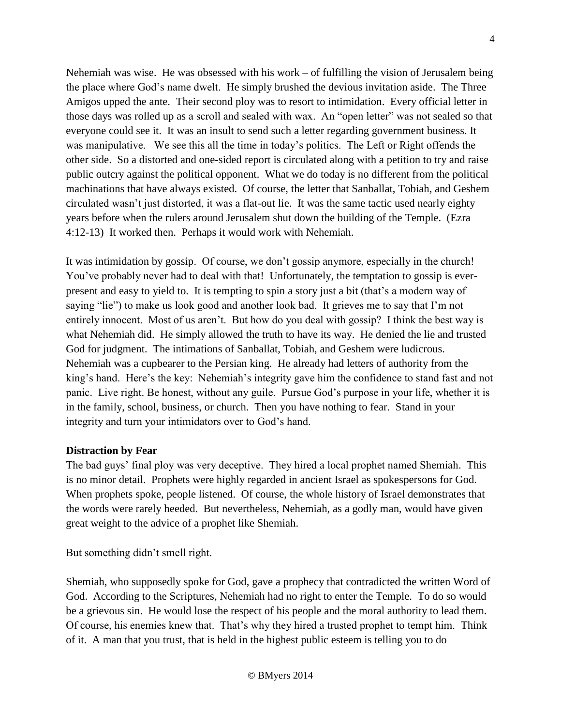Nehemiah was wise. He was obsessed with his work  $-$  of fulfilling the vision of Jerusalem being the place where God's name dwelt. He simply brushed the devious invitation aside. The Three Amigos upped the ante. Their second ploy was to resort to intimidation. Every official letter in those days was rolled up as a scroll and sealed with wax. An "open letter" was not sealed so that everyone could see it. It was an insult to send such a letter regarding government business. It was manipulative. We see this all the time in today's politics. The Left or Right offends the other side. So a distorted and one-sided report is circulated along with a petition to try and raise public outcry against the political opponent. What we do today is no different from the political machinations that have always existed. Of course, the letter that Sanballat, Tobiah, and Geshem circulated wasn't just distorted, it was a flat-out lie. It was the same tactic used nearly eighty years before when the rulers around Jerusalem shut down the building of the Temple. (Ezra 4:12-13) It worked then. Perhaps it would work with Nehemiah.

It was intimidation by gossip. Of course, we don't gossip anymore, especially in the church! You've probably never had to deal with that! Unfortunately, the temptation to gossip is everpresent and easy to yield to. It is tempting to spin a story just a bit (that's a modern way of saying "lie") to make us look good and another look bad. It grieves me to say that I'm not entirely innocent. Most of us aren't. But how do you deal with gossip? I think the best way is what Nehemiah did. He simply allowed the truth to have its way. He denied the lie and trusted God for judgment. The intimations of Sanballat, Tobiah, and Geshem were ludicrous. Nehemiah was a cupbearer to the Persian king. He already had letters of authority from the king's hand. Here's the key: Nehemiah's integrity gave him the confidence to stand fast and not panic. Live right. Be honest, without any guile. Pursue God's purpose in your life, whether it is in the family, school, business, or church. Then you have nothing to fear. Stand in your integrity and turn your intimidators over to God's hand.

## **Distraction by Fear**

The bad guys' final ploy was very deceptive. They hired a local prophet named Shemiah. This is no minor detail. Prophets were highly regarded in ancient Israel as spokespersons for God. When prophets spoke, people listened. Of course, the whole history of Israel demonstrates that the words were rarely heeded. But nevertheless, Nehemiah, as a godly man, would have given great weight to the advice of a prophet like Shemiah.

But something didn't smell right.

Shemiah, who supposedly spoke for God, gave a prophecy that contradicted the written Word of God. According to the Scriptures, Nehemiah had no right to enter the Temple. To do so would be a grievous sin. He would lose the respect of his people and the moral authority to lead them. Of course, his enemies knew that. That's why they hired a trusted prophet to tempt him. Think of it. A man that you trust, that is held in the highest public esteem is telling you to do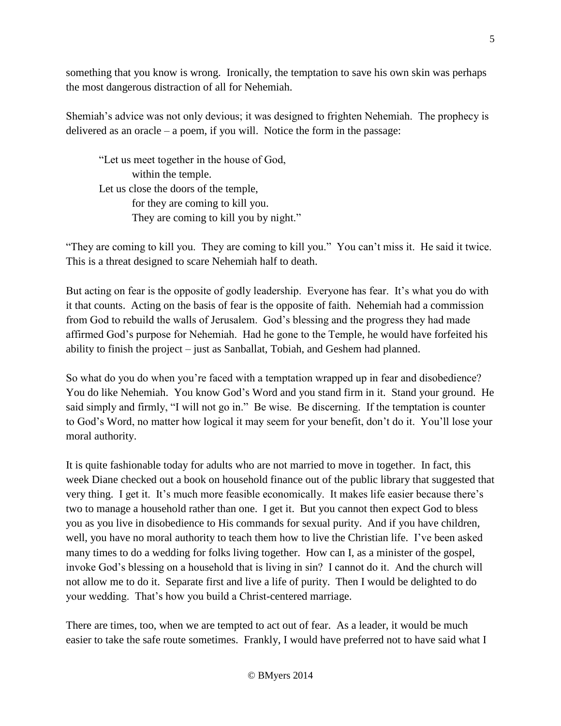something that you know is wrong. Ironically, the temptation to save his own skin was perhaps the most dangerous distraction of all for Nehemiah.

Shemiah's advice was not only devious; it was designed to frighten Nehemiah. The prophecy is delivered as an oracle – a poem, if you will. Notice the form in the passage:

"Let us meet together in the house of God, within the temple. Let us close the doors of the temple, for they are coming to kill you. They are coming to kill you by night."

"They are coming to kill you. They are coming to kill you." You can't miss it. He said it twice. This is a threat designed to scare Nehemiah half to death.

But acting on fear is the opposite of godly leadership. Everyone has fear. It's what you do with it that counts. Acting on the basis of fear is the opposite of faith. Nehemiah had a commission from God to rebuild the walls of Jerusalem. God's blessing and the progress they had made affirmed God's purpose for Nehemiah. Had he gone to the Temple, he would have forfeited his ability to finish the project – just as Sanballat, Tobiah, and Geshem had planned.

So what do you do when you're faced with a temptation wrapped up in fear and disobedience? You do like Nehemiah. You know God's Word and you stand firm in it. Stand your ground. He said simply and firmly, "I will not go in." Be wise. Be discerning. If the temptation is counter to God's Word, no matter how logical it may seem for your benefit, don't do it. You'll lose your moral authority.

It is quite fashionable today for adults who are not married to move in together. In fact, this week Diane checked out a book on household finance out of the public library that suggested that very thing. I get it. It's much more feasible economically. It makes life easier because there's two to manage a household rather than one. I get it. But you cannot then expect God to bless you as you live in disobedience to His commands for sexual purity. And if you have children, well, you have no moral authority to teach them how to live the Christian life. I've been asked many times to do a wedding for folks living together. How can I, as a minister of the gospel, invoke God's blessing on a household that is living in sin? I cannot do it. And the church will not allow me to do it. Separate first and live a life of purity. Then I would be delighted to do your wedding. That's how you build a Christ-centered marriage.

There are times, too, when we are tempted to act out of fear. As a leader, it would be much easier to take the safe route sometimes. Frankly, I would have preferred not to have said what I